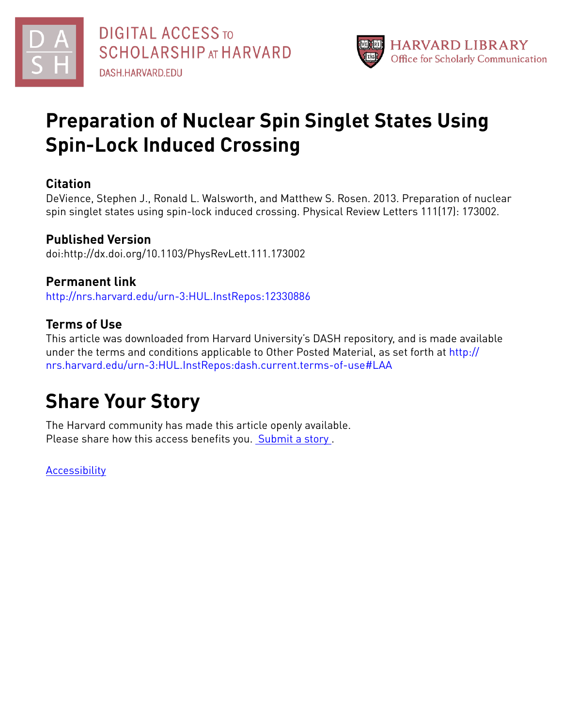

# **Preparation of Nuclear Spin Singlet States Using Spin-Lock Induced Crossing**

#### **Citation**

DeVience, Stephen J., Ronald L. Walsworth, and Matthew S. Rosen. 2013. Preparation of nuclear spin singlet states using spin-lock induced crossing. Physical Review Letters 111(17): 173002.

### **Published Version**

doi:http://dx.doi.org/10.1103/PhysRevLett.111.173002

#### **Permanent link**

<http://nrs.harvard.edu/urn-3:HUL.InstRepos:12330886>

#### **Terms of Use**

This article was downloaded from Harvard University's DASH repository, and is made available under the terms and conditions applicable to Other Posted Material, as set forth at [http://](http://nrs.harvard.edu/urn-3:HUL.InstRepos:dash.current.terms-of-use#LAA) [nrs.harvard.edu/urn-3:HUL.InstRepos:dash.current.terms-of-use#LAA](http://nrs.harvard.edu/urn-3:HUL.InstRepos:dash.current.terms-of-use#LAA)

## **Share Your Story**

The Harvard community has made this article openly available. Please share how this access benefits you. [Submit](http://osc.hul.harvard.edu/dash/open-access-feedback?handle=&title=Preparation%20of%20Nuclear%20Spin%20Singlet%20States%20Using%20Spin-Lock%20Induced%20Crossing&community=1/1&collection=1/2&owningCollection1/2&harvardAuthors=94599c14d7d9edb3418e90da8afee584&departmentPhysics) a story.

**[Accessibility](https://dash.harvard.edu/pages/accessibility)**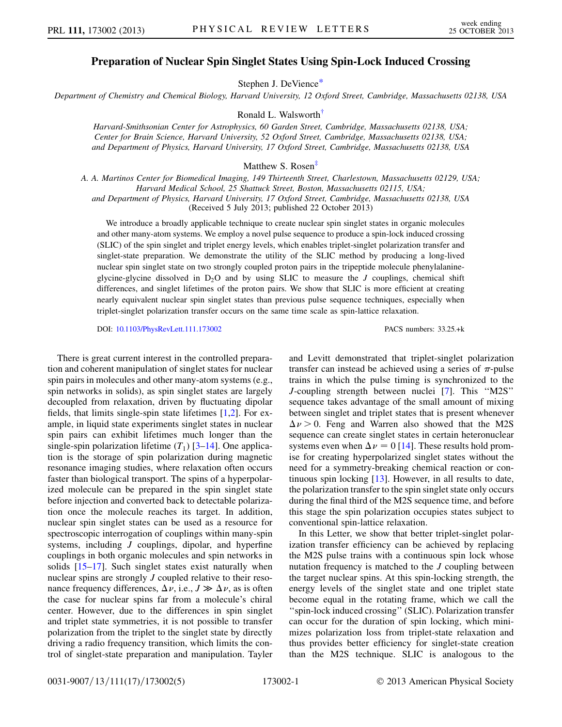#### Preparation of Nuclear Spin Singlet States Using Spin-Lock Induced Crossing

Stephen J. DeVienc[e\\*](#page-5-0)

<span id="page-1-1"></span><span id="page-1-0"></span>Department of Chemistry and Chemical Biology, Harvard University, 12 Oxford Street, Cambridge, Massachusetts 02138, USA

Ronald L. Walswort[h†](#page-5-1)

Harvard-Smithsonian Center for Astrophysics, 60 Garden Street, Cambridge, Massachusetts 02138, USA; Center for Brain Science, Harvard University, 52 Oxford Street, Cambridge, Massachusetts 02138, USA; and Department of Physics, Harvard University, 17 Oxford Street, Cambridge, Massachusetts 02138, USA

Matthew S. Rosen<sup>[‡](#page-5-2)</sup>

<span id="page-1-2"></span>A. A. Martinos Center for Biomedical Imaging, 149 Thirteenth Street, Charlestown, Massachusetts 02129, USA; Harvard Medical School, 25 Shattuck Street, Boston, Massachusetts 02115, USA; and Department of Physics, Harvard University, 17 Oxford Street, Cambridge, Massachusetts 02138, USA

(Received 5 July 2013; published 22 October 2013)

We introduce a broadly applicable technique to create nuclear spin singlet states in organic molecules and other many-atom systems. We employ a novel pulse sequence to produce a spin-lock induced crossing (SLIC) of the spin singlet and triplet energy levels, which enables triplet-singlet polarization transfer and singlet-state preparation. We demonstrate the utility of the SLIC method by producing a long-lived nuclear spin singlet state on two strongly coupled proton pairs in the tripeptide molecule phenylalanineglycine-glycine dissolved in  $D_2O$  and by using SLIC to measure the J couplings, chemical shift differences, and singlet lifetimes of the proton pairs. We show that SLIC is more efficient at creating nearly equivalent nuclear spin singlet states than previous pulse sequence techniques, especially when triplet-singlet polarization transfer occurs on the same time scale as spin-lattice relaxation.

DOI: [10.1103/PhysRevLett.111.173002](http://dx.doi.org/10.1103/PhysRevLett.111.173002) PACS numbers: 33.25.+k

There is great current interest in the controlled preparation and coherent manipulation of singlet states for nuclear spin pairs in molecules and other many-atom systems (e.g., spin networks in solids), as spin singlet states are largely decoupled from relaxation, driven by fluctuating dipolar fields, that limits single-spin state lifetimes [\[1](#page-5-3)[,2](#page-5-4)]. For example, in liquid state experiments singlet states in nuclear spin pairs can exhibit lifetimes much longer than the single-spin polarization lifetime  $(T_1)$  [\[3](#page-5-5)[–14\]](#page-5-6). One application is the storage of spin polarization during magnetic resonance imaging studies, where relaxation often occurs faster than biological transport. The spins of a hyperpolarized molecule can be prepared in the spin singlet state before injection and converted back to detectable polarization once the molecule reaches its target. In addition, nuclear spin singlet states can be used as a resource for spectroscopic interrogation of couplings within many-spin systems, including *J* couplings, dipolar, and hyperfine couplings in both organic molecules and spin networks in solids [[15](#page-5-7)[–17\]](#page-5-8). Such singlet states exist naturally when nuclear spins are strongly J coupled relative to their resonance frequency differences,  $\Delta \nu$ , i.e.,  $J \gg \Delta \nu$ , as is often the case for nuclear spins far from a molecule's chiral center. However, due to the differences in spin singlet and triplet state symmetries, it is not possible to transfer polarization from the triplet to the singlet state by directly driving a radio frequency transition, which limits the control of singlet-state preparation and manipulation. Tayler

and Levitt demonstrated that triplet-singlet polarization transfer can instead be achieved using a series of  $\pi$ -pulse trains in which the pulse timing is synchronized to the J-coupling strength between nuclei [\[7\]](#page-5-9). This ''M2S'' sequence takes advantage of the small amount of mixing between singlet and triplet states that is present whenever  $\Delta \nu > 0$ . Feng and Warren also showed that the M2S sequence can create singlet states in certain heteronuclear systems even when  $\Delta \nu = 0$  [\[14](#page-5-6)]. These results hold promise for creating hyperpolarized singlet states without the need for a symmetry-breaking chemical reaction or continuous spin locking [\[13\]](#page-5-10). However, in all results to date, the polarization transfer to the spin singlet state only occurs during the final third of the M2S sequence time, and before this stage the spin polarization occupies states subject to conventional spin-lattice relaxation.

In this Letter, we show that better triplet-singlet polarization transfer efficiency can be achieved by replacing the M2S pulse trains with a continuous spin lock whose nutation frequency is matched to the J coupling between the target nuclear spins. At this spin-locking strength, the energy levels of the singlet state and one triplet state become equal in the rotating frame, which we call the "spin-lock induced crossing" (SLIC). Polarization transfer can occur for the duration of spin locking, which minimizes polarization loss from triplet-state relaxation and thus provides better efficiency for singlet-state creation than the M2S technique. SLIC is analogous to the

0031-9007/13/111(17)/173002(5) 173002-1 © 2013 American Physical Society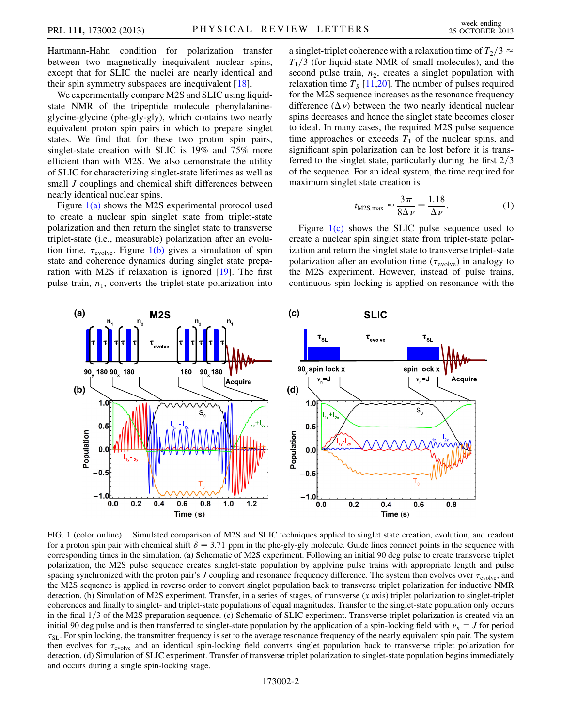Hartmann-Hahn condition for polarization transfer between two magnetically inequivalent nuclear spins, except that for SLIC the nuclei are nearly identical and their spin symmetry subspaces are inequivalent [\[18\]](#page-5-11).

We experimentally compare M2S and SLIC using liquidstate NMR of the tripeptide molecule phenylalanineglycine-glycine (phe-gly-gly), which contains two nearly equivalent proton spin pairs in which to prepare singlet states. We find that for these two proton spin pairs, singlet-state creation with SLIC is 19% and 75% more efficient than with M2S. We also demonstrate the utility of SLIC for characterizing singlet-state lifetimes as well as small *J* couplings and chemical shift differences between nearly identical nuclear spins.

Figure [1\(a\)](#page-2-0) shows the M2S experimental protocol used to create a nuclear spin singlet state from triplet-state polarization and then return the singlet state to transverse triplet-state (i.e., measurable) polarization after an evolution time,  $\tau_{\text{evolve}}$ . Figure [1\(b\)](#page-2-0) gives a simulation of spin state and coherence dynamics during singlet state preparation with M2S if relaxation is ignored [[19](#page-5-12)]. The first pulse train,  $n_1$ , converts the triplet-state polarization into

a singlet-triplet coherence with a relaxation time of  $T_2/3 \approx$  $T_1/3$  (for liquid-state NMR of small molecules), and the second pulse train,  $n_2$ , creates a singlet population with relaxation time  $T_s$  [\[11](#page-5-13)[,20\]](#page-5-14). The number of pulses required for the M2S sequence increases as the resonance frequency difference  $(\Delta \nu)$  between the two nearly identical nuclear spins decreases and hence the singlet state becomes closer to ideal. In many cases, the required M2S pulse sequence time approaches or exceeds  $T_1$  of the nuclear spins, and significant spin polarization can be lost before it is transferred to the singlet state, particularly during the first  $2/3$ of the sequence. For an ideal system, the time required for maximum singlet state creation is

$$
t_{\text{M2S,max}} \approx \frac{3\pi}{8\Delta\nu} = \frac{1.18}{\Delta\nu}.
$$
 (1)

<span id="page-2-1"></span>Figure  $1(c)$  shows the SLIC pulse sequence used to create a nuclear spin singlet state from triplet-state polarization and return the singlet state to transverse triplet-state polarization after an evolution time ( $\tau_{\text{evolve}}$ ) in analogy to the M2S experiment. However, instead of pulse trains, continuous spin locking is applied on resonance with the



<span id="page-2-0"></span>FIG. 1 (color online). Simulated comparison of M2S and SLIC techniques applied to singlet state creation, evolution, and readout for a proton spin pair with chemical shift  $\delta = 3.71$  ppm in the phe-gly-gly molecule. Guide lines connect points in the sequence with corresponding times in the simulation. (a) Schematic of M2S experiment. Following an initial 90 deg pulse to create transverse triplet polarization, the M2S pulse sequence creates singlet-state population by applying pulse trains with appropriate length and pulse spacing synchronized with the proton pair's J coupling and resonance frequency difference. The system then evolves over  $\tau_{\text{evolve}}$ , and the M2S sequence is applied in reverse order to convert singlet population back to transverse triplet polarization for inductive NMR detection. (b) Simulation of M2S experiment. Transfer, in a series of stages, of transverse (x axis) triplet polarization to singlet-triplet coherences and finally to singlet- and triplet-state populations of equal magnitudes. Transfer to the singlet-state population only occurs in the final  $1/3$  of the M2S preparation sequence. (c) Schematic of SLIC experiment. Transverse triplet polarization is created via an initial 90 deg pulse and is then transferred to singlet-state population by the application of a spin-locking field with  $\nu_n = J$  for period  $\tau_{SL}$ . For spin locking, the transmitter frequency is set to the average resonance frequency of the nearly equivalent spin pair. The system then evolves for  $\tau_{\text{evolve}}$  and an identical spin-locking field converts singlet population back to transverse triplet polarization for detection. (d) Simulation of SLIC experiment. Transfer of transverse triplet polarization to singlet-state population begins immediately and occurs during a single spin-locking stage.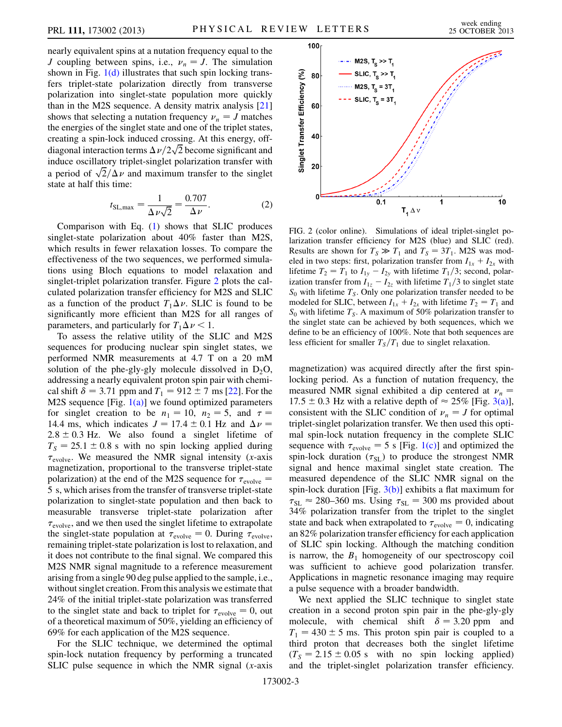nearly equivalent spins at a nutation frequency equal to the J coupling between spins, i.e.,  $\nu_n = J$ . The simulation shown in Fig.  $1(d)$  illustrates that such spin locking transfers triplet-state polarization directly from transverse polarization into singlet-state population more quickly than in the M2S sequence. A density matrix analysis [\[21\]](#page-5-15) shows that selecting a nutation frequency  $\nu_n = J$  matches the energies of the singlet state and one of the triplet states, creating a spin-lock induced crossing. At this energy, offcreating a spin-lock induced crossing. At this energy, off-<br>diagonal interaction terms  $\Delta \nu / 2\sqrt{2}$  become significant and induce oscillatory triplet-singlet polarization transfer with induce oscillatory triplet-singlet polarization transfer with<br>a period of  $\sqrt{2}/\Delta \nu$  and maximum transfer to the singlet state at half this time:

$$
t_{\text{SL,max}} = \frac{1}{\Delta \nu \sqrt{2}} = \frac{0.707}{\Delta \nu}.
$$
 (2)

Comparison with Eq. ([1\)](#page-2-1) shows that SLIC produces singlet-state polarization about 40% faster than M2S, which results in fewer relaxation losses. To compare the effectiveness of the two sequences, we performed simulations using Bloch equations to model relaxation and singlet-triplet polarization transfer. Figure [2](#page-3-0) plots the calculated polarization transfer efficiency for M2S and SLIC as a function of the product  $T_1 \Delta \nu$ . SLIC is found to be significantly more efficient than M2S for all ranges of parameters, and particularly for  $T_1 \Delta \nu < 1$ .

To assess the relative utility of the SLIC and M2S sequences for producing nuclear spin singlet states, we performed NMR measurements at 4.7 T on a 20 mM solution of the phe-gly-gly molecule dissolved in  $D_2O$ , addressing a nearly equivalent proton spin pair with chemical shift  $\delta = 3.71$  ppm and  $T_1 = 912 \pm 7$  ms [[22](#page-5-16)]. For the M2S sequence [Fig.  $1(a)$ ] we found optimized parameters for singlet creation to be  $n_1 = 10$ ,  $n_2 = 5$ , and  $\tau =$ 14.4 ms, which indicates  $J = 17.4 \pm 0.1$  Hz and  $\Delta \nu =$  $2.8 \pm 0.3$  Hz. We also found a singlet lifetime of  $T<sub>S</sub> = 25.1 \pm 0.8$  s with no spin locking applied during  $\tau_{\text{evolve}}$ . We measured the NMR signal intensity (x-axis magnetization, proportional to the transverse triplet-state polarization) at the end of the M2S sequence for  $\tau_{\text{evolve}} =$ 5 s, which arises from the transfer of transverse triplet-state polarization to singlet-state population and then back to measurable transverse triplet-state polarization after  $\tau_{\text{evolve}}$ , and we then used the singlet lifetime to extrapolate the singlet-state population at  $\tau_{\text{evolve}} = 0$ . During  $\tau_{\text{evolve}}$ , remaining triplet-state polarization is lost to relaxation, and it does not contribute to the final signal. We compared this M2S NMR signal magnitude to a reference measurement arising from a single 90 deg pulse applied to the sample, i.e., without singlet creation. From this analysis we estimate that 24% of the initial triplet-state polarization was transferred to the singlet state and back to triplet for  $\tau_{\text{evolve}} = 0$ , out of a theoretical maximum of 50%, yielding an efficiency of 69% for each application of the M2S sequence.

For the SLIC technique, we determined the optimal spin-lock nutation frequency by performing a truncated SLIC pulse sequence in which the NMR signal  $(x\text{-axis})$ 

<span id="page-3-0"></span>

FIG. 2 (color online). Simulations of ideal triplet-singlet polarization transfer efficiency for M2S (blue) and SLIC (red). Results are shown for  $T_s \gg T_1$  and  $T_s = 3T_1$ . M2S was modeled in two steps: first, polarization transfer from  $I_{1x} + I_{2x}$  with lifetime  $T_2 = T_1$  to  $I_{1y} - I_{2y}$  with lifetime  $T_1/3$ ; second, polarization transfer from  $I_{1z} - I_{2z}$  with lifetime  $T_1/3$  to singlet state  $S_0$  with lifetime  $T_S$ . Only one polarization transfer needed to be modeled for SLIC, between  $I_{1x} + I_{2x}$  with lifetime  $T_2 = T_1$  and  $S_0$  with lifetime  $T_s$ . A maximum of 50% polarization transfer to the singlet state can be achieved by both sequences, which we define to be an efficiency of 100%. Note that both sequences are less efficient for smaller  $T<sub>S</sub>/T<sub>1</sub>$  due to singlet relaxation.

magnetization) was acquired directly after the first spinlocking period. As a function of nutation frequency, the measured NMR signal exhibited a dip centered at  $v_n$  =  $17.5 \pm 0.3$  Hz with a relative depth of  $\approx 25\%$  [Fig. [3\(a\)\]](#page-4-0), consistent with the SLIC condition of  $\nu_n = J$  for optimal triplet-singlet polarization transfer. We then used this optimal spin-lock nutation frequency in the complete SLIC sequence with  $\tau_{\text{evolve}} = 5$  s [Fig. [1\(c\)\]](#page-2-0) and optimized the spin-lock duration  $(\tau_{SL})$  to produce the strongest NMR signal and hence maximal singlet state creation. The measured dependence of the SLIC NMR signal on the spin-lock duration [Fig.  $3(b)$ ] exhibits a flat maximum for  $\tau_{SL} \approx 280{\text -}360 \text{ ms}$ . Using  $\tau_{SL} = 300 \text{ ms}$  provided about 34% polarization transfer from the triplet to the singlet state and back when extrapolated to  $\tau_{\text{evolve}} = 0$ , indicating an 82% polarization transfer efficiency for each application of SLIC spin locking. Although the matching condition is narrow, the  $B_1$  homogeneity of our spectroscopy coil was sufficient to achieve good polarization transfer. Applications in magnetic resonance imaging may require a pulse sequence with a broader bandwidth.

We next applied the SLIC technique to singlet state creation in a second proton spin pair in the phe-gly-gly molecule, with chemical shift  $\delta = 3.20$  ppm and  $T_1 = 430 \pm 5$  ms. This proton spin pair is coupled to a third proton that decreases both the singlet lifetime  $(T<sub>S</sub> = 2.15 \pm 0.05 \text{ s}$  with no spin locking applied) and the triplet-singlet polarization transfer efficiency.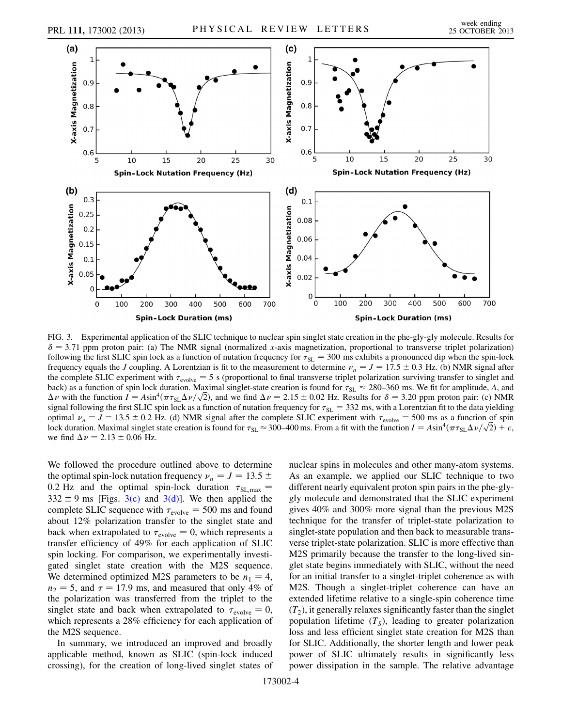

<span id="page-4-0"></span>FIG. 3. Experimental application of the SLIC technique to nuclear spin singlet state creation in the phe-gly-gly molecule. Results for  $\delta$  = 3.71 ppm proton pair: (a) The NMR signal (normalized x-axis magnetization, proportional to transverse triplet polarization) following the first SLIC spin lock as a function of nutation frequency for  $\tau_{SL} = 300$  ms exhibits a pronounced dip when the spin-lock frequency equals the J coupling. A Lorentzian is fit to the measurement to determine  $\nu_n = J = 17.5 \pm 0.3$  Hz. (b) NMR signal after the complete SLIC experiment with  $\tau_{evolve} = 5$  s (proportional to final transverse triplet polarization surviving transfer to singlet and back) as a function of spin lock duration. Maximal singlet-state creation is found for  $\tau_{SL} \approx 280-360$  ms. We fit for amplitude, A, and back) as a function of spin lock duration. Maximal singlet-state creation is found for  $\tau_{SL} \approx 280{\text -}360$  ms. We fit for amplitude, A, and  $\Delta \nu$  with the function  $I = Asin^4(\pi \tau_{SL} \Delta \nu / \sqrt{2})$ , and we find  $\Delta \nu = 2.15 \pm 0.$ signal following the first SLIC spin lock as a function of nutation frequency for  $\tau_{SL} = 332$  ms, with a Lorentzian fit to the data yielding optimal  $\nu_n = J = 13.5 \pm 0.2$  Hz. (d) NMR signal after the complete SLIC experiment with  $\tau_{\text{evolve}} = 500$  ms as a function of spin optimal  $\nu_n = J = 13.5 \pm 0.2$  Hz. (d) NMR signal after the complete SLIC experiment with  $\tau_{\text{evolve}} = 500$  ms as a function of spin<br>lock duration. Maximal singlet state creation is found for  $\tau_{SL} \approx 300{\text -}400$  ms. From a f we find  $\Delta \nu = 2.13 \pm 0.06$  Hz.

We followed the procedure outlined above to determine the optimal spin-lock nutation frequency  $\nu_n = J = 13.5 \pm 10^{-10}$ 0.2 Hz and the optimal spin-lock duration  $\tau_{SL,max}$  =  $332 \pm 9$  ms [Figs. [3\(c\)](#page-4-0) and [3\(d\)](#page-4-0)]. We then applied the complete SLIC sequence with  $\tau_{evolve} = 500$  ms and found about 12% polarization transfer to the singlet state and back when extrapolated to  $\tau_{\text{evolve}} = 0$ , which represents a transfer efficiency of 49% for each application of SLIC spin locking. For comparison, we experimentally investigated singlet state creation with the M2S sequence. We determined optimized M2S parameters to be  $n_1 = 4$ ,  $n_2 = 5$ , and  $\tau = 17.9$  ms, and measured that only 4% of the polarization was transferred from the triplet to the singlet state and back when extrapolated to  $\tau_{\text{evolve}} = 0$ , which represents a 28% efficiency for each application of the M2S sequence.

In summary, we introduced an improved and broadly applicable method, known as SLIC (spin-lock induced crossing), for the creation of long-lived singlet states of nuclear spins in molecules and other many-atom systems. As an example, we applied our SLIC technique to two different nearly equivalent proton spin pairs in the phe-glygly molecule and demonstrated that the SLIC experiment gives 40% and 300% more signal than the previous M2S technique for the transfer of triplet-state polarization to singlet-state population and then back to measurable transverse triplet-state polarization. SLIC is more effective than M2S primarily because the transfer to the long-lived singlet state begins immediately with SLIC, without the need for an initial transfer to a singlet-triplet coherence as with M2S. Though a singlet-triplet coherence can have an extended lifetime relative to a single-spin coherence time  $(T_2)$ , it generally relaxes significantly faster than the singlet population lifetime  $(T<sub>S</sub>)$ , leading to greater polarization loss and less efficient singlet state creation for M2S than for SLIC. Additionally, the shorter length and lower peak power of SLIC ultimately results in significantly less power dissipation in the sample. The relative advantage